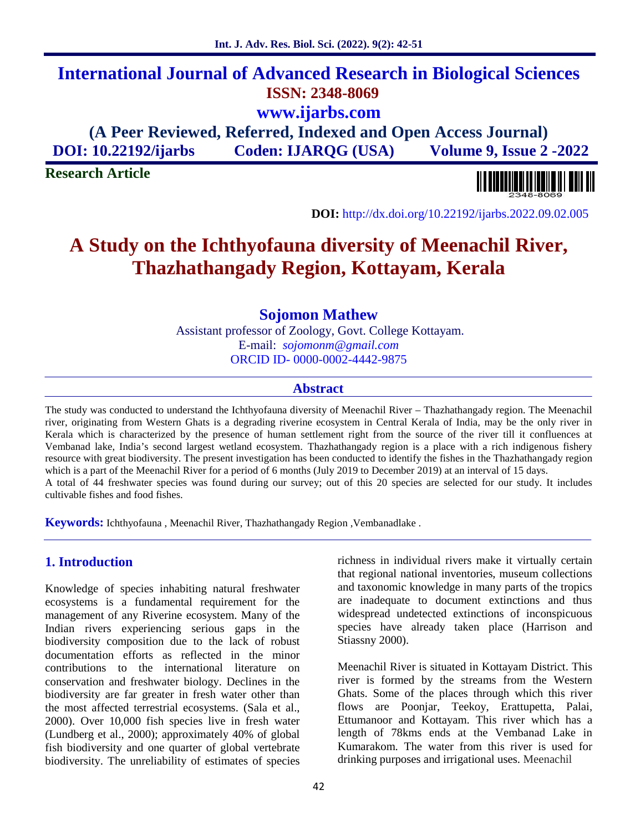# **International Journal of Advanced Research in Biological Sciences ISSN: 2348-8069 www.ijarbs.com**

**(A Peer Reviewed, Referred, Indexed and Open Access Journal) DOI: 10.22192/ijarbs Coden: IJARQG (USA) Volume 9, Issue 2 -2022**

**Research Article**



**DOI:** http://dx.doi.org/10.22192/ijarbs.2022.09.02.005

# **A Study on the Ichthyofauna diversity of Meenachil River, Thazhathangady Region, Kottayam, Kerala**

**Sojomon Mathew**

Assistant professor of Zoology, Govt. College Kottayam. E-mail: *sojomonm@gmail.com* ORCID ID- 0000-0002-4442-9875

#### **Abstract**

The study was conducted to understand the Ichthyofauna diversity of Meenachil River – Thazhathangady region. The Meenachil river, originating from Western Ghats is a degrading riverine ecosystem in Central Kerala of India, may be the only river in Kerala which is characterized by the presence of human settlement right from the source of the river till it confluences at Vembanad lake, India's second largest wetland ecosystem. Thazhathangady region is a place with a rich indigenous fishery resource with great biodiversity. The present investigation has been conducted to identify the fishes in the Thazhathangady region which is a part of the Meenachil River for a period of 6 months (July 2019 to December 2019) at an interval of 15 days. A total of 44 freshwater species was found during our survey; out of this 20 species are selected for our study. It includes cultivable fishes and food fishes.

**Keywords:** Ichthyofauna , Meenachil River, Thazhathangady Region ,Vembanadlake .

## **1. Introduction**

Knowledge of species inhabiting natural freshwater ecosystems is a fundamental requirement for the management of any Riverine ecosystem. Many of the Indian rivers experiencing serious gaps in the biodiversity composition due to the lack of robust documentation efforts as reflected in the minor contributions to the international literature on conservation and freshwater biology. Declines in the biodiversity are far greater in fresh water other than the most affected terrestrial ecosystems. (Sala et al., 2000). Over 10,000 fish species live in fresh water (Lundberg et al., 2000); approximately 40% of global fish biodiversity and one quarter of global vertebrate biodiversity. The unreliability of estimates of species richness in individual rivers make it virtually certain that regional national inventories, museum collections and taxonomic knowledge in many parts of the tropics are inadequate to document extinctions and thus widespread undetected extinctions of inconspicuous species have already taken place (Harrison and Stiassny 2000).

Meenachil River is situated in Kottayam District. This river is formed by the streams from the Western Ghats. Some of the places through which this river flows are Poonjar, Teekoy, Erattupetta, Palai, Ettumanoor and Kottayam. This river which has a length of 78kms ends at the Vembanad Lake in Kumarakom. The water from this river is used for drinking purposes and irrigational uses. Meenachil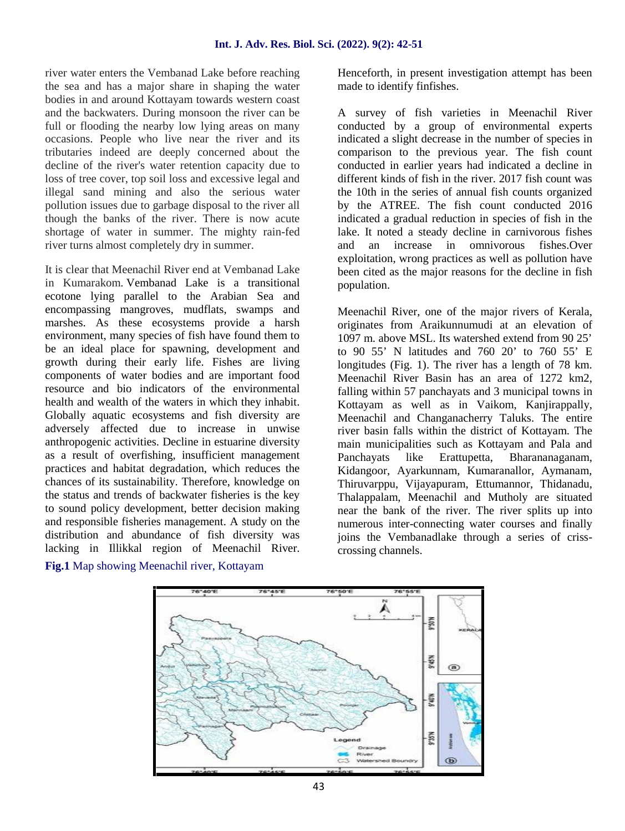river water enters the Vembanad Lake before reaching the sea and has a major share in shaping the water bodies in and around Kottayam towards western coast and the backwaters. During monsoon the river can be full or flooding the nearby low lying areas on many occasions. People who live near the river and its tributaries indeed are deeply concerned about the decline of the river's water retention capacity due to loss of tree cover, top soil loss and excessive legal and illegal sand mining and also the serious water pollution issues due to garbage disposal to the river all though the banks of the river. There is now acute shortage of water in summer. The mighty rain-fed river turns almost completely dry in summer.

It is clear that Meenachil River end at Vembanad Lake in Kumarakom. Vembanad Lake is a transitional ecotone lying parallel to the Arabian Sea and encompassing mangroves, mudflats, swamps and marshes. As these ecosystems provide a harsh environment, many species of fish have found them to be an ideal place for spawning, development and growth during their early life. Fishes are living components of water bodies and are important food resource and bio indicators of the environmental health and wealth of the waters in which they inhabit. Globally aquatic ecosystems and fish diversity are adversely affected due to increase in unwise anthropogenic activities. Decline in estuarine diversity as a result of overfishing, insufficient management practices and habitat degradation, which reduces the chances of its sustainability. Therefore, knowledge on the status and trends of backwater fisheries is the key to sound policy development, better decision making and responsible fisheries management. A study on the distribution and abundance of fish diversity was lacking in Illikkal region of Meenachil River.

Henceforth, in present investigation attempt has been made to identify finfishes.

A survey of fish varieties in Meenachil River conducted by a group of environmental experts indicated a slight decrease in the number of species in comparison to the previous year. The fish count conducted in earlier years had indicated a decline in different kinds of fish in the river. 2017 fish count was the 10th in the series of annual fish counts organized by the ATREE. The fish count conducted 2016 indicated a gradual reduction in species of fish in the lake. It noted a steady decline in carnivorous fishes and an increase in omnivorous fishes.Over exploitation, wrong practices as well as pollution have been cited as the major reasons for the decline in fish population.

Meenachil River, one of the major rivers of Kerala, originates from Araikunnumudi at an elevation of 1097 m. above MSL. Its watershed extend from 90 25' to 90 55' N latitudes and 760 20' to 760 55' E longitudes (Fig. 1). The river has a length of 78 km. Meenachil River Basin has an area of 1272 km2, falling within 57 panchayats and 3 municipal towns in Kottayam as well as in Vaikom, Kanjirappally, Meenachil and Changanacherry Taluks. The entire river basin falls within the district of Kottayam. The main municipalities such as Kottayam and Pala and Panchayats like Erattupetta, Bharananaganam, Kidangoor, Ayarkunnam, Kumaranallor, Aymanam, Thiruvarppu, Vijayapuram, Ettumannor, Thidanadu, Thalappalam, Meenachil and Mutholy are situated near the bank of the river. The river splits up into numerous inter-connecting water courses and finally joins the Vembanadlake through a series of criss crossing channels.



## **Fig.1** Map showing Meenachil river, Kottayam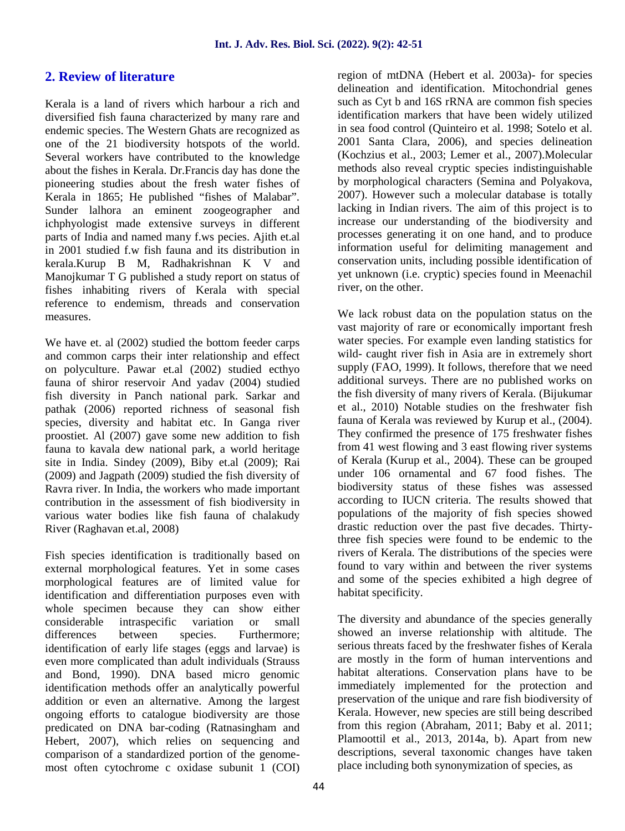# **2. Review of literature**

Kerala is a land of rivers which harbour a rich and diversified fish fauna characterized by many rare and endemic species. The Western Ghats are recognized as one of the 21 biodiversity hotspots of the world. Several workers have contributed to the knowledge about the fishes in Kerala. Dr.Francis day has done the pioneering studies about the fresh water fishes of Kerala in 1865; He published "fishes of Malabar". Sunder lalhora an eminent zoogeographer and ichphyologist made extensive surveys in different parts of India and named many f.ws pecies. Ajith et.al in 2001 studied f.w fish fauna and its distribution in kerala.Kurup B M, Radhakrishnan K V and Manojkumar T G published a study report on status of fishes inhabiting rivers of Kerala with special reference to endemism, threads and conservation measures.

We have et. al (2002) studied the bottom feeder carps and common carps their inter relationship and effect on polyculture. Pawar et.al (2002) studied ecthyo fauna of shiror reservoir And yadav (2004) studied fish diversity in Panch national park. Sarkar and pathak (2006) reported richness of seasonal fish species, diversity and habitat etc. In Ganga river proostiet. Al (2007) gave some new addition to fish fauna to kavala dew national park, a world heritage site in India. Sindey (2009), Biby et.al (2009); Rai (2009) and Jagpath (2009) studied the fish diversity of Ravra river. In India, the workers who made important contribution in the assessment of fish biodiversity in various water bodies like fish fauna of chalakudy River (Raghavan et.al, 2008)

Fish species identification is traditionally based on external morphological features. Yet in some cases morphological features are of limited value for identification and differentiation purposes even with whole specimen because they can show either considerable intraspecific variation or small differences between species. Furthermore; identification of early life stages (eggs and larvae) is even more complicated than adult individuals (Strauss and Bond, 1990). DNA based micro genomic identification methods offer an analytically powerful addition or even an alternative. Among the largest ongoing efforts to catalogue biodiversity are those predicated on DNA bar-coding (Ratnasingham and Hebert, 2007), which relies on sequencing and comparison of a standardized portion of the genome most often cytochrome c oxidase subunit 1 (COI) region of mtDNA (Hebert et al. 2003a)- for species delineation and identification. Mitochondrial genes such as Cyt b and 16S rRNA are common fish species identification markers that have been widely utilized in sea food control (Quinteiro et al. 1998; Sotelo et al. 2001 Santa Clara, 2006), and species delineation (Kochzius et al., 2003; Lemer et al., 2007).Molecular methods also reveal cryptic species indistinguishable by morphological characters (Semina and Polyakova, 2007). However such a molecular database is totally lacking in Indian rivers. The aim of this project is to increase our understanding of the biodiversity and processes generating it on one hand, and to produce information useful for delimiting management and conservation units, including possible identification of yet unknown (i.e. cryptic) species found in Meenachil river, on the other.

We lack robust data on the population status on the vast majority of rare or economically important fresh water species. For example even landing statistics for wild- caught river fish in Asia are in extremely short supply (FAO, 1999). It follows, therefore that we need additional surveys. There are no published works on the fish diversity of many rivers of Kerala. (Bijukumar et al., 2010) Notable studies on the freshwater fish fauna of Kerala was reviewed by Kurup et al., (2004). They confirmed the presence of 175 freshwater fishes from 41 west flowing and 3 east flowing river systems of Kerala (Kurup et al., 2004). These can be grouped under 106 ornamental and 67 food fishes. The biodiversity status of these fishes was assessed according to IUCN criteria. The results showed that populations of the majority of fish species showed drastic reduction over the past five decades. Thirtythree fish species were found to be endemic to the rivers of Kerala. The distributions of the species were found to vary within and between the river systems and some of the species exhibited a high degree of habitat specificity.

The diversity and abundance of the species generally showed an inverse relationship with altitude. The serious threats faced by the freshwater fishes of Kerala are mostly in the form of human interventions and habitat alterations. Conservation plans have to be immediately implemented for the protection and preservation of the unique and rare fish biodiversity of Kerala. However, new species are still being described from this region (Abraham, 2011; Baby et al. 2011; Plamoottil et al., 2013, 2014a, b). Apart from new descriptions, several taxonomic changes have taken place including both synonymization of species, as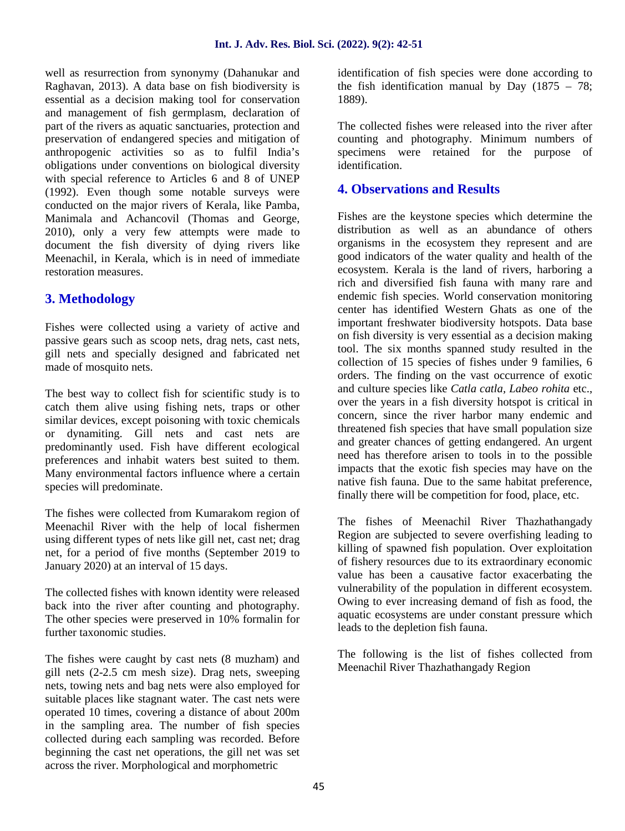well as resurrection from synonymy (Dahanukar and Raghavan, 2013). A data base on fish biodiversity is essential as a decision making tool for conservation and management of fish germplasm, declaration of part of the rivers as aquatic sanctuaries, protection and preservation of endangered species and mitigation of anthropogenic activities so as to fulfil India's obligations under conventions on biological diversity with special reference to Articles 6 and 8 of UNEP (1992). Even though some notable surveys were conducted on the major rivers of Kerala, like Pamba, Manimala and Achancovil (Thomas and George, 2010), only a very few attempts were made to document the fish diversity of dying rivers like Meenachil, in Kerala, which is in need of immediate restoration measures.

# **3. Methodology**

Fishes were collected using a variety of active and passive gears such as scoop nets, drag nets, cast nets, gill nets and specially designed and fabricated net made of mosquito nets.

The best way to collect fish for scientific study is to catch them alive using fishing nets, traps or other similar devices, except poisoning with toxic chemicals or dynamiting. Gill nets and cast nets are predominantly used. Fish have different ecological preferences and inhabit waters best suited to them. Many environmental factors influence where a certain species will predominate.

The fishes were collected from Kumarakom region of Meenachil River with the help of local fishermen using different types of nets like gill net, cast net; drag net, for a period of five months (September 2019 to January 2020) at an interval of 15 days.

The collected fishes with known identity were released back into the river after counting and photography. The other species were preserved in 10% formalin for further taxonomic studies.

The fishes were caught by cast nets (8 muzham) and gill nets (2-2.5 cm mesh size). Drag nets, sweeping nets, towing nets and bag nets were also employed for suitable places like stagnant water. The cast nets were operated 10 times, covering a distance of about 200m in the sampling area. The number of fish species collected during each sampling was recorded. Before beginning the cast net operations, the gill net was set across the river. Morphological and morphometric

identification of fish species were done according to the fish identification manual by Day  $(1875 - 78)$ ; 1889).

The collected fishes were released into the river after counting and photography. Minimum numbers of specimens were retained for the purpose of identification.

# **4. Observations and Results**

Fishes are the keystone species which determine the distribution as well as an abundance of others organisms in the ecosystem they represent and are good indicators of the water quality and health of the ecosystem. Kerala is the land of rivers, harboring a rich and diversified fish fauna with many rare and endemic fish species. World conservation monitoring center has identified Western Ghats as one of the important freshwater biodiversity hotspots. Data base on fish diversity is very essential as a decision making tool. The six months spanned study resulted in the collection of 15 species of fishes under 9 families, 6 orders. The finding on the vast occurrence of exotic and culture species like *Catla catla, Labeo rohita* etc., over the years in a fish diversity hotspot is critical in concern, since the river harbor many endemic and threatened fish species that have small population size and greater chances of getting endangered. An urgent need has therefore arisen to tools in to the possible impacts that the exotic fish species may have on the native fish fauna. Due to the same habitat preference, finally there will be competition for food, place, etc.

The fishes of Meenachil River Thazhathangady Region are subjected to severe overfishing leading to killing of spawned fish population. Over exploitation of fishery resources due to its extraordinary economic value has been a causative factor exacerbating the vulnerability of the population in different ecosystem. Owing to ever increasing demand of fish as food, the aquatic ecosystems are under constant pressure which leads to the depletion fish fauna.

The following is the list of fishes collected from Meenachil River Thazhathangady Region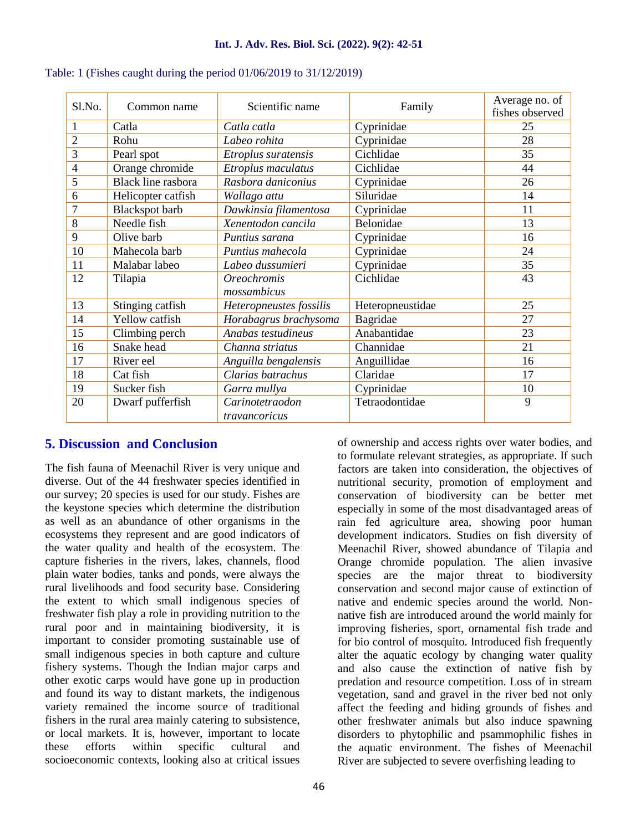| Sl.No.         | Common name           | Scientific name                   | Family           | Average no. of<br>fishes observed |
|----------------|-----------------------|-----------------------------------|------------------|-----------------------------------|
| 1              | Catla                 | Catla catla                       | Cyprinidae       | 25                                |
| $\overline{2}$ | Rohu                  | Labeo rohita                      | Cyprinidae       | 28                                |
| 3              | Pearl spot            | Etroplus suratensis               | Cichlidae        | 35                                |
| 4              | Orange chromide       | Etroplus maculatus                | Cichlidae        | 44                                |
| 5              | Black line rasbora    | Rasbora daniconius                | Cyprinidae       | 26                                |
| 6              | Helicopter catfish    | Wallago attu                      | Siluridae        | 14                                |
| 7              | <b>Blackspot</b> barb | Dawkinsia filamentosa             | Cyprinidae       | 11                                |
| 8              | Needle fish           | Belonidae<br>Xenentodon cancila   |                  | 13                                |
| 9              | Olive barb            | Puntius sarana                    | Cyprinidae       | 16                                |
| 10             | Mahecola barb         | Puntius mahecola                  | Cyprinidae       | 24                                |
| 11             | Malabar labeo         | Labeo dussumieri                  | Cyprinidae       | 35                                |
| 12             | Tilapia               | <b>Oreochromis</b><br>mossambicus | Cichlidae        | 43                                |
| 13             | Stinging catfish      | Heteropneustes fossilis           | Heteropneustidae | 25                                |
| 14             | Yellow catfish        | Horabagrus brachysoma             | Bagridae         | 27                                |
| 15             | Climbing perch        | Anabas testudineus                | Anabantidae      | 23                                |
| 16             | Snake head            | Channa striatus                   | Channidae        | 21                                |
| 17             | River eel             | Anguilla bengalensis              | Anguillidae      | 16                                |
| 18             | Cat fish              | Clarias batrachus                 | Claridae         | 17                                |
| 19             | Sucker fish           | Garra mullya                      | Cyprinidae       | 10                                |
| 20             | Dwarf pufferfish      | Carinotetraodon<br>travancoricus  | Tetraodontidae   | 9                                 |

|  | Table: 1 (Fishes caught during the period $01/06/2019$ to $31/12/2019$ ) |  |
|--|--------------------------------------------------------------------------|--|

## **5. Discussion and Conclusion**

The fish fauna of Meenachil River is very unique and diverse. Out of the 44 freshwater species identified in our survey; 20 species is used for our study. Fishes are the keystone species which determine the distribution as well as an abundance of other organisms in the ecosystems they represent and are good indicators of the water quality and health of the ecosystem. The capture fisheries in the rivers, lakes, channels, flood plain water bodies, tanks and ponds, were always the rural livelihoods and food security base. Considering the extent to which small indigenous species of freshwater fish play a role in providing nutrition to the rural poor and in maintaining biodiversity, it is important to consider promoting sustainable use of small indigenous species in both capture and culture fishery systems. Though the Indian major carps and other exotic carps would have gone up in production and found its way to distant markets, the indigenous variety remained the income source of traditional fishers in the rural area mainly catering to subsistence, or local markets. It is, however, important to locate<br>these efforts within specific cultural and these efforts within specific cultural and socioeconomic contexts, looking also at critical issues

of ownership and access rights over water bodies, and to formulate relevant strategies, as appropriate. If such factors are taken into consideration, the objectives of nutritional security, promotion of employment and conservation of biodiversity can be better met especially in some of the most disadvantaged areas of rain fed agriculture area, showing poor human development indicators. Studies on fish diversity of Meenachil River, showed abundance of Tilapia and Orange chromide population. The alien invasive species are the major threat to biodiversity conservation and second major cause of extinction of native and endemic species around the world. Non native fish are introduced around the world mainly for improving fisheries, sport, ornamental fish trade and for bio control of mosquito. Introduced fish frequently alter the aquatic ecology by changing water quality and also cause the extinction of native fish by predation and resource competition. Loss of in stream vegetation, sand and gravel in the river bed not only affect the feeding and hiding grounds of fishes and other freshwater animals but also induce spawning disorders to phytophilic and psammophilic fishes in the aquatic environment. The fishes of Meenachil River are subjected to severe overfishing leading to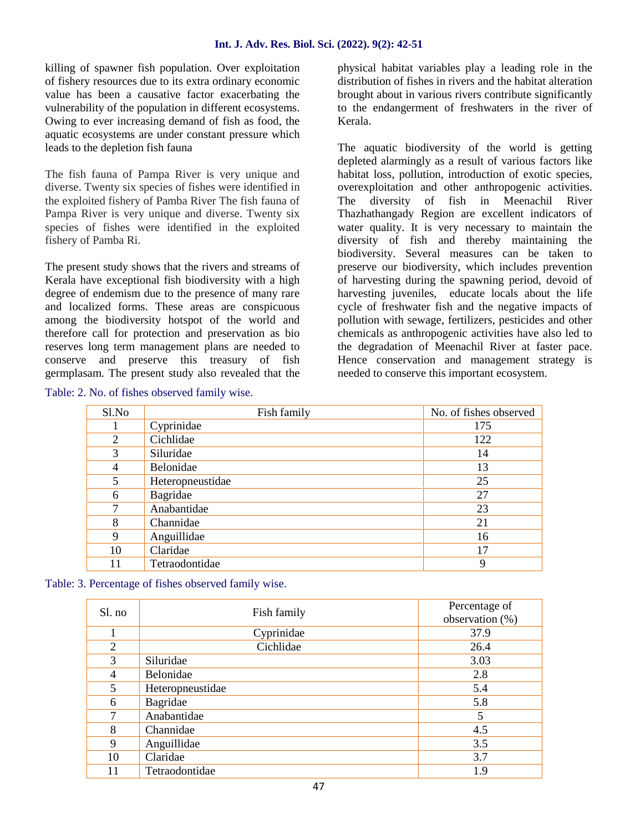killing of spawner fish population. Over exploitation of fishery resources due to its extra ordinary economic value has been a causative factor exacerbating the vulnerability of the population in different ecosystems. Owing to ever increasing demand of fish as food, the aquatic ecosystems are under constant pressure which leads to the depletion fish fauna

The fish fauna of Pampa River is very unique and diverse. Twenty six species of fishes were identified in the exploited fishery of Pamba River The fish fauna of Pampa River is very unique and diverse. Twenty six species of fishes were identified in the exploited fishery of Pamba Ri.

The present study shows that the rivers and streams of Kerala have exceptional fish biodiversity with a high degree of endemism due to the presence of many rare and localized forms. These areas are conspicuous among the biodiversity hotspot of the world and therefore call for protection and preservation as bio reserves long term management plans are needed to conserve and preserve this treasury of fish germplasam. The present study also revealed that the

Table: 2. No. of fishes observed family wise.

physical habitat variables play a leading role in the distribution of fishes in rivers and the habitat alteration brought about in various rivers contribute significantly to the endangerment of freshwaters in the river of Kerala.

The aquatic biodiversity of the world is getting depleted alarmingly as a result of various factors like habitat loss, pollution, introduction of exotic species, overexploitation and other anthropogenic activities. The diversity of fish in Meenachil River Thazhathangady Region are excellent indicators of water quality. It is very necessary to maintain the diversity of fish and thereby maintaining the biodiversity. Several measures can be taken to preserve our biodiversity, which includes prevention of harvesting during the spawning period, devoid of harvesting juveniles, educate locals about the life cycle of freshwater fish and the negative impacts of pollution with sewage, fertilizers, pesticides and other chemicals as anthropogenic activities have also led to the degradation of Meenachil River at faster pace. Hence conservation and management strategy is needed to conserve this important ecosystem.

| Sl.No          | Fish family      | No. of fishes observed |
|----------------|------------------|------------------------|
|                | Cyprinidae       | 175                    |
| 2              | Cichlidae        | 122                    |
| 3              | Siluridae        | 14                     |
| $\overline{4}$ | Belonidae        | 13                     |
| 5              | Heteropneustidae | 25                     |
| 6              | Bagridae         | 27                     |
| 7              | Anabantidae      | 23                     |
| 8              | Channidae        | 21                     |
| 9              | Anguillidae      | 16                     |
| 10             | Claridae         | 17                     |
| 11             | Tetraodontidae   | 9                      |

Table: 3. Percentage of fishes observed family wise.

| Sl. no         | Fish family      | Percentage of   |  |
|----------------|------------------|-----------------|--|
|                |                  | observation (%) |  |
|                | Cyprinidae       | 37.9            |  |
| $\overline{2}$ | Cichlidae        | 26.4            |  |
| 3              | Siluridae        | 3.03            |  |
| 4              | Belonidae        | 2.8             |  |
| 5              | Heteropneustidae | 5.4             |  |
| 6              | Bagridae         | 5.8             |  |
| 7              | Anabantidae      | 5               |  |
| 8              | Channidae        | 4.5             |  |
| 9              | Anguillidae      | 3.5             |  |
| 10             | Claridae         | 3.7             |  |
| 11             | Tetraodontidae   | 1.9             |  |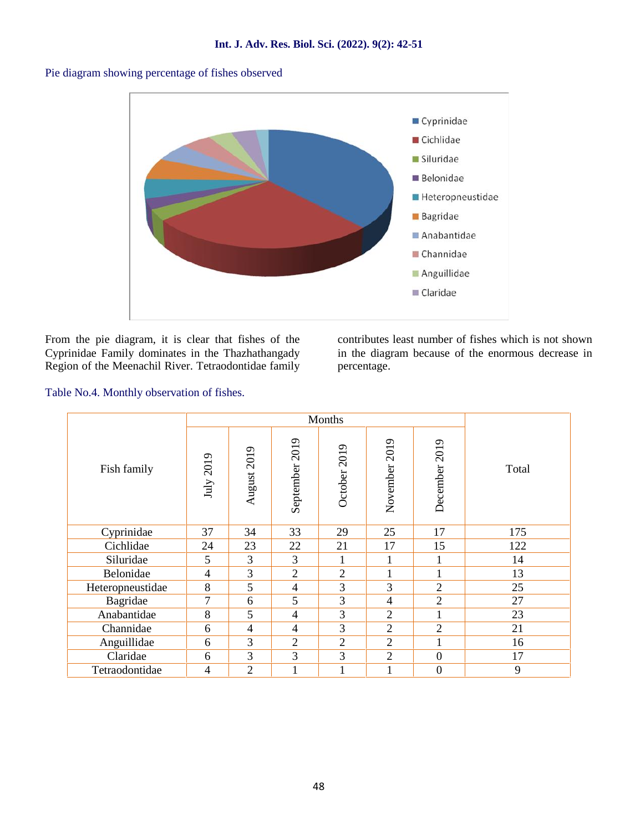

Pie diagram showing percentage of fishes observed

From the pie diagram, it is clear that fishes of the Cyprinidae Family dominates in the Thazhathangady Region of the Meenachil River. Tetraodontidae family contributes least number of fishes which is not shown in the diagram because of the enormous decrease in percentage.

Table No.4. Monthly observation of fishes.

|                  | Months         |                |                |                |                |                |       |
|------------------|----------------|----------------|----------------|----------------|----------------|----------------|-------|
| Fish family      | July 2019      | August 2019    | September 2019 | October 2019   | November 2019  | December 2019  | Total |
| Cyprinidae       | 37             | 34             | 33             | 29             | 25             | 17             | 175   |
| Cichlidae        | 24             | 23             | 22             | 21             | 17             | 15             | 122   |
| Siluridae        | 5              | 3              | 3              | 1              | ı.             |                | 14    |
| Belonidae        | $\overline{4}$ | 3              | $\overline{2}$ | $\overline{2}$ | 1              |                | 13    |
| Heteropneustidae | 8              | 5              | $\overline{4}$ | 3              | 3              | $\overline{2}$ | 25    |
| Bagridae         | $\overline{7}$ | 6              | 5              | $\overline{3}$ | $\overline{4}$ | $\overline{2}$ | 27    |
| Anabantidae      | 8              | 5              | $\overline{4}$ | $\overline{3}$ | $\overline{2}$ |                | 23    |
| Channidae        | 6              | $\overline{4}$ | $\overline{4}$ | 3              | $\overline{2}$ | $\overline{2}$ | 21    |
| Anguillidae      | 6              | 3              | $\overline{2}$ | $\overline{2}$ | $\overline{2}$ |                | 16    |
| Claridae         | 6              | 3              | 3              | 3              | $\overline{2}$ | $\overline{0}$ | 17    |
| Tetraodontidae   | 4              | $\overline{2}$ | 1              | $\mathbf{1}$   | $\mathbf{1}$   | $\mathbf{0}$   | 9     |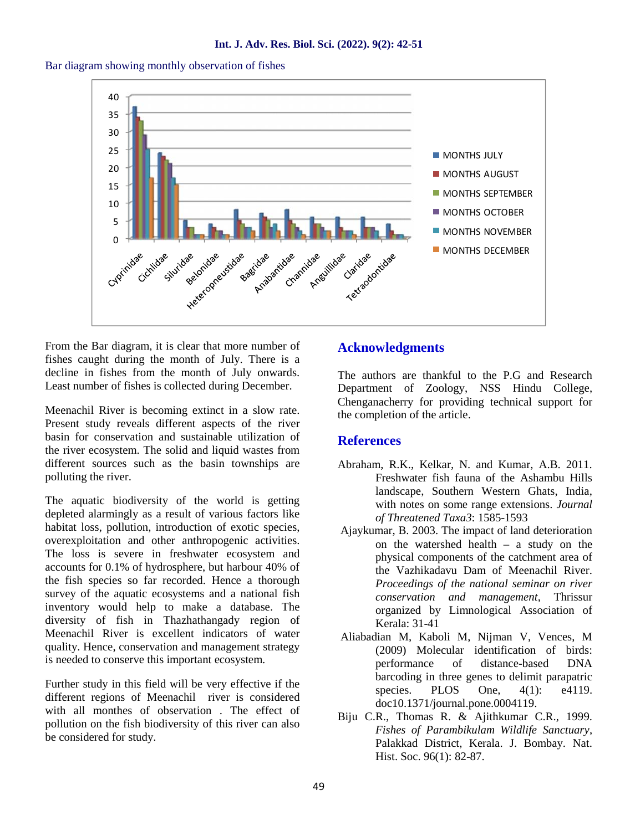



From the Bar diagram, it is clear that more number of fishes caught during the month of July. There is a decline in fishes from the month of July onwards. Least number of fishes is collected during December.

Meenachil River is becoming extinct in a slow rate. Present study reveals different aspects of the river basin for conservation and sustainable utilization of the river ecosystem. The solid and liquid wastes from different sources such as the basin townships are polluting the river.

The aquatic biodiversity of the world is getting depleted alarmingly as a result of various factors like habitat loss, pollution, introduction of exotic species, overexploitation and other anthropogenic activities. The loss is severe in freshwater ecosystem and accounts for 0.1% of hydrosphere, but harbour 40% of the fish species so far recorded. Hence a thorough survey of the aquatic ecosystems and a national fish inventory would help to make a database. The diversity of fish in Thazhathangady region of Meenachil River is excellent indicators of water quality. Hence, conservation and management strategy is needed to conserve this important ecosystem.

Further study in this field will be very effective if the different regions of Meenachil river is considered with all monthes of observation . The effect of pollution on the fish biodiversity of this river can also be considered for study.

## **Acknowledgments**

The authors are thankful to the P.G and Research Department of Zoology, NSS Hindu College, Chenganacherry for providing technical support for the completion of the article.

#### **References**

- Abraham, R.K., Kelkar, N. and Kumar, A.B. 2011. Freshwater fish fauna of the Ashambu Hills landscape, Southern Western Ghats, India, with notes on some range extensions. *Journal of Threatened Taxa3*: 1585-1593
- Ajaykumar, B. 2003. The impact of land deterioration on the watershed health – a study on the physical components of the catchment area of the Vazhikadavu Dam of Meenachil River. *Proceedings of the national seminar on river conservation and management*, Thrissur organized by Limnological Association of Kerala: 31-41
- Aliabadian M, Kaboli M, Nijman V, Vences, M (2009) Molecular identification of birds: performance of distance-based DNA barcoding in three genes to delimit parapatric species. PLOS One,  $4(1)$ : e4119. doc10.1371/journal.pone.0004119.
- Biju C.R., Thomas R. & Ajithkumar C.R., 1999. *Fishes of Parambikulam Wildlife Sanctuary*, Palakkad District, Kerala. J. Bombay. Nat. Hist. Soc. 96(1): 82-87.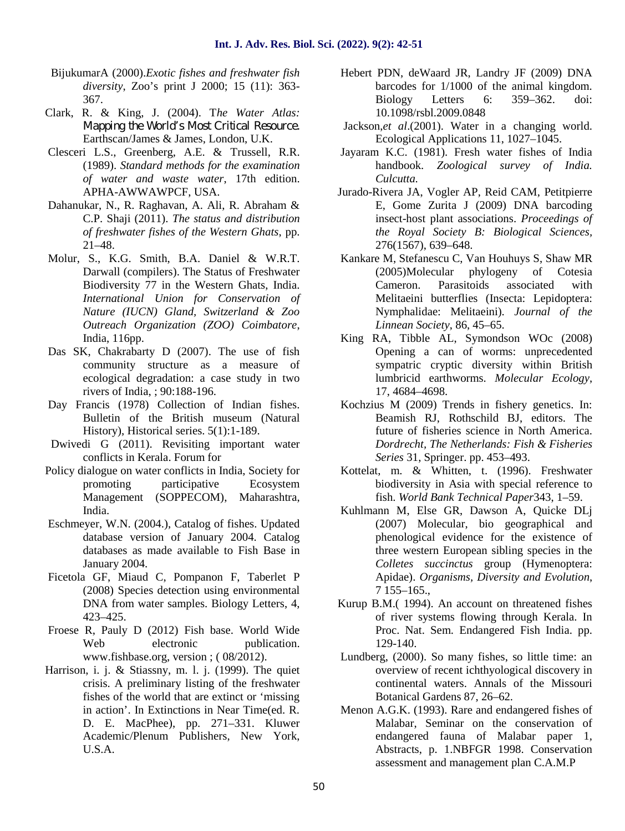- BijukumarA (2000).*Exotic fishes and freshwater fish diversity*, Zoo's print J 2000; 15 (11): 363- 367.
- Clark, R. & King, J. (2004). T*he Water Atlas: Mapping the World's Most Critical Resource.* Earthscan/James & James, London, U.K.
- Clesceri L.S., Greenberg, A.E. & Trussell, R.R. (1989). *Standard methods for the examination of water and waste water*, 17th edition. APHA-AWWAWPCF, USA.
- Dahanukar, N., R. Raghavan, A. Ali, R. Abraham & C.P. Shaji (2011). *The status and distribution of freshwater fishes of the Western Ghats*, pp. 21–48.
- Molur, S., K.G. Smith, B.A. Daniel & W.R.T. Darwall (compilers). The Status of Freshwater Biodiversity 77 in the Western Ghats, India. *International Union for Conservation of Nature (IUCN) Gland, Switzerland & Zoo Outreach Organization (ZOO) Coimbatore*, India, 116pp.
- Das SK, Chakrabarty D (2007). The use of fish community structure as a measure of ecological degradation: a case study in two rivers of India, ; 90:188-196.
- Day Francis (1978) Collection of Indian fishes. Bulletin of the British museum (Natural History), Historical series. 5(1):1-189.
- Dwivedi G (2011). Revisiting important water conflicts in Kerala. Forum for
- Policy dialogue on water conflicts in India, Society for promoting participative Ecosystem Management (SOPPECOM), Maharashtra, India.
- Eschmeyer, W.N. (2004.), Catalog of fishes. Updated database version of January 2004. Catalog databases as made available to Fish Base in January 2004.
- Ficetola GF, Miaud C, Pompanon F, Taberlet P (2008) Species detection using environmental DNA from water samples. Biology Letters, 4, 423–425.
- Froese R, Pauly D (2012) Fish base. World Wide Web electronic publication. www.fishbase.org, version ; ( 08/2012).
- Harrison, i. j. & Stiassny, m. l. j. (1999). The quiet crisis. A preliminary listing of the freshwater fishes of the world that are extinct or 'missing in action'. In Extinctions in Near Time(ed. R. D. E. MacPhee), pp. 271–331. Kluwer Academic/Plenum Publishers, New York, U.S.A.
- Hebert PDN, deWaard JR, Landry JF (2009) DNA barcodes for 1/1000 of the animal kingdom. Biology Letters 6: 359–362. doi: 10.1098/rsbl.2009.0848
- Jackson,*et al*.(2001). Water in a changing world. Ecological Applications 11, 1027–1045.
- Jayaram K.C. (1981). Fresh water fishes of India handbook. *Zoological survey of India. Culcutta.*
- Jurado-Rivera JA, Vogler AP, Reid CAM, Petitpierre E, Gome Zurita J (2009) DNA barcoding insect-host plant associations. *Proceedings of the Royal Society B: Biological Sciences,* 276(1567), 639–648.
- Kankare M, Stefanescu C, Van Houhuys S, Shaw MR (2005)Molecular phylogeny of Cotesia Cameron. Parasitoids associated with Melitaeini butterflies (Insecta: Lepidoptera: Nymphalidae: Melitaeini). *Journal of the Linnean Society*, 86, 45–65.
- King RA, Tibble AL, Symondson WOc (2008) Opening a can of worms: unprecedented sympatric cryptic diversity within British lumbricid earthworms. *Molecular Ecology*, 17, 4684–4698.
- Kochzius M (2009) Trends in fishery genetics. In: Beamish RJ, Rothschild BJ, editors. The future of fisheries science in North America. *Dordrecht, The Netherlands: Fish & Fisheries Series* 31, Springer. pp. 453–493.
- Kottelat, m. & Whitten, t. (1996). Freshwater biodiversity in Asia with special reference to fish. *World Bank Technical Paper*343, 1–59.
- Kuhlmann M, Else GR, Dawson A, Quicke DLj (2007) Molecular, bio geographical and phenological evidence for the existence of three western European sibling species in the *Colletes succinctus* group (Hymenoptera: Apidae). *Organisms, Diversity and Evolution*, 7 155–165.,
- Kurup B.M.( 1994). An account on threatened fishes of river systems flowing through Kerala. In Proc. Nat. Sem. Endangered Fish India. pp. 129-140.
- Lundberg, (2000). So many fishes, so little time: an overview of recent ichthyological discovery in continental waters. Annals of the Missouri Botanical Gardens 87, 26–62.
- Menon A.G.K. (1993). Rare and endangered fishes of Malabar, Seminar on the conservation of endangered fauna of Malabar paper 1, Abstracts, p. 1.NBFGR 1998. Conservation assessment and management plan C.A.M.P